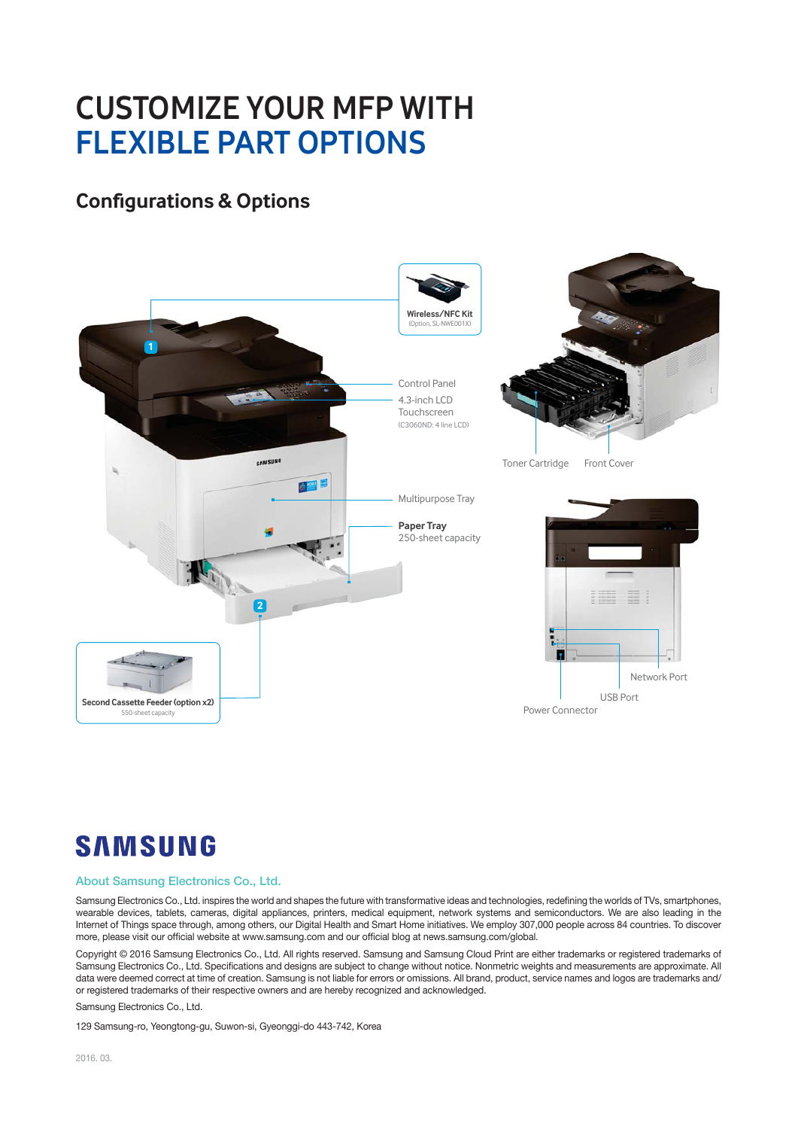## **CUSTOMIZE YOUR MFP WITH FLEXIBLE PART OPTIONS FLEXIBLE PART OPTIONS**

#### **Configurations & Options**



## **SAMSUNG**

#### About Samsung Electronics Co., Ltd.

Samsung Electronics Co., Ltd. inspires the world and shapes the future with transformative ideas and technologies, redefining the worlds of TVs, smartphones, wearable devices, tablets, cameras, digital appliances, printers, medical equipment, network systems and semiconductors. We are also leading in the Internet of Things space through, among others, our Digital Health and Smart Home initiatives. We employ 307,000 people across 84 countries. To discover more, please visit our official website at www.samsung.com and our official blog at news.samsung.com/global.

Copyright © 2016 Samsung Electronics Co., Ltd. All rights reserved. Samsung and Samsung Cloud Print are either trademarks or registered trademarks of Samsung Electronics Co., Ltd. Specifications and designs are subject to change without notice. Nonmetric weights and measurements are approximate. All data were deemed correct at time of creation. Samsung is not liable for errors or omissions. All brand, product, service names and logos are trademarks and/ or registered trademarks of their respective owners and are hereby recognized and acknowledged.

Samsung Electronics Co., Ltd.

129 Samsung-ro, Yeongtong-gu, Suwon-si, Gyeonggi-do 443-742, Korea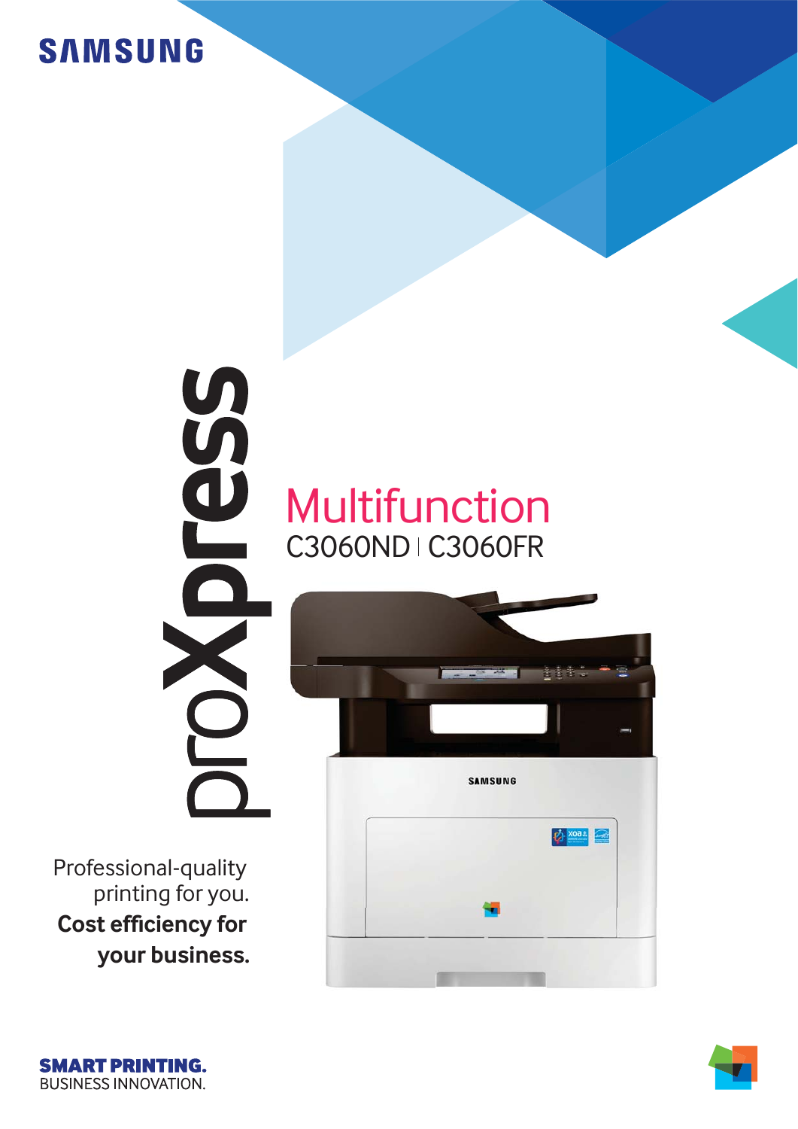# **SAMSUNG**

# Multifunction C3060ND | C3060FR

Professional-quality printing for you. g **Cost efficiency for your business.** 





5655

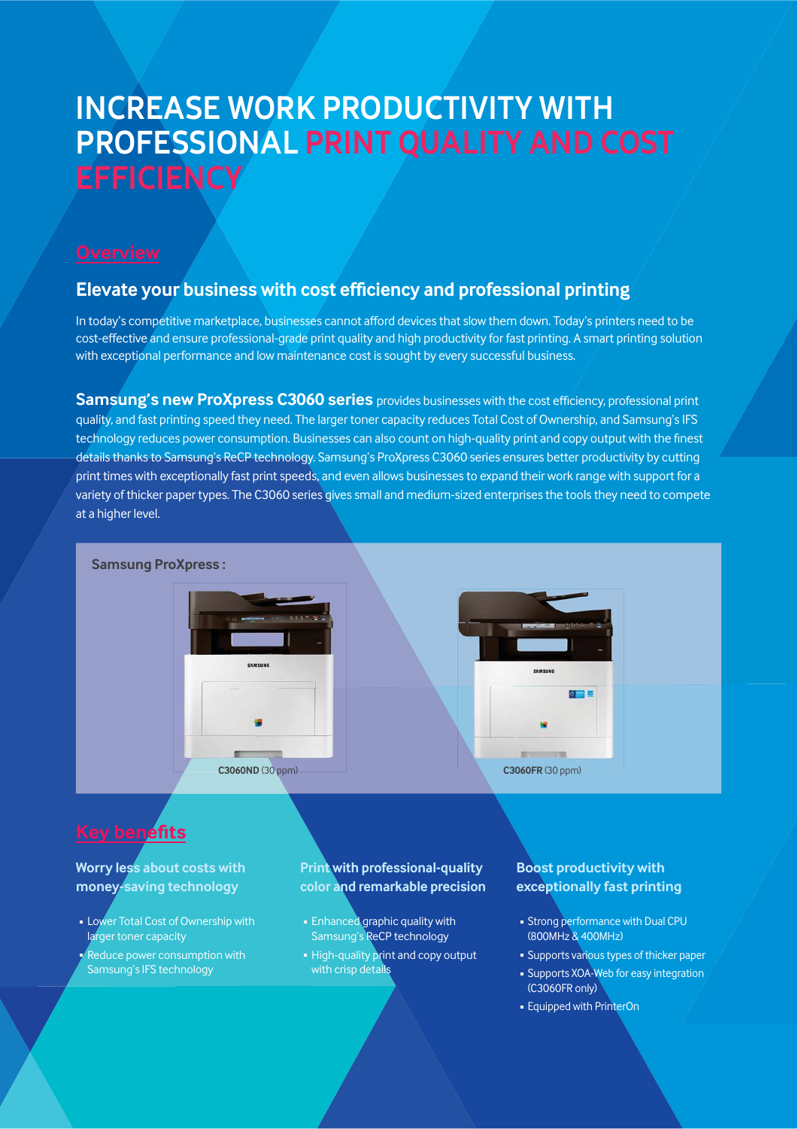# **INCREASE WORK PRODUCTIVITY WITH<br>PROFESSIONAL PRINT QUALITY AND COST EFFICIENCY EFFICIENCY**

#### **Elevate your business with cost efficiency and professional printing**

In today's competitive marketplace, businesses cannot afford devices that slow them down. Today's printers need to be cost-effective and ensure professional-grade print quality and high productivity for fast printing. A smart printing solution with exceptional performance and low maintenance cost is sought by every successful business.

**Samsung's new ProXpress C3060 series** provides businesses with the cost efficiency, professional print quality, and fast printing speed they need. The larger toner capacity reduces Total Cost of Ownership, and Samsung's IFS technology reduces power consumption. Businesses can also count on high-quality print and copy output with the finest details thanks to Samsung's ReCP technology. Samsung's ProXpress C3060 series ensures better productivity by cutting print times with exceptionally fast print speeds, and even allows businesses to expand their work range with support for a variety of thicker paper types. The C3060 series gives small and medium-sized enterprises the tools they need to compete at a higher level.



### **Key benefits**

#### **Worry less about costs with** money-saving technology

- **Lower Total Cost of Ownership with** larger toner capacity
- **Reduce power consumption with** Samsung's IFS technology

#### **Print with professional-quality** color and remarkable precision

- **Enhanced graphic quality with** Samsung's ReCP technology
- **High-quality print and copy output** with crisp details

#### **Boost productivity with exceptionally fast printing**

- **Strong performance with Dual CPU** (800MHz & 400MHz)
- Supports various types of thicker paper **Supports XOA-Web for easy integration**
- (C3060FR only)
- **Equipped with PrinterOn**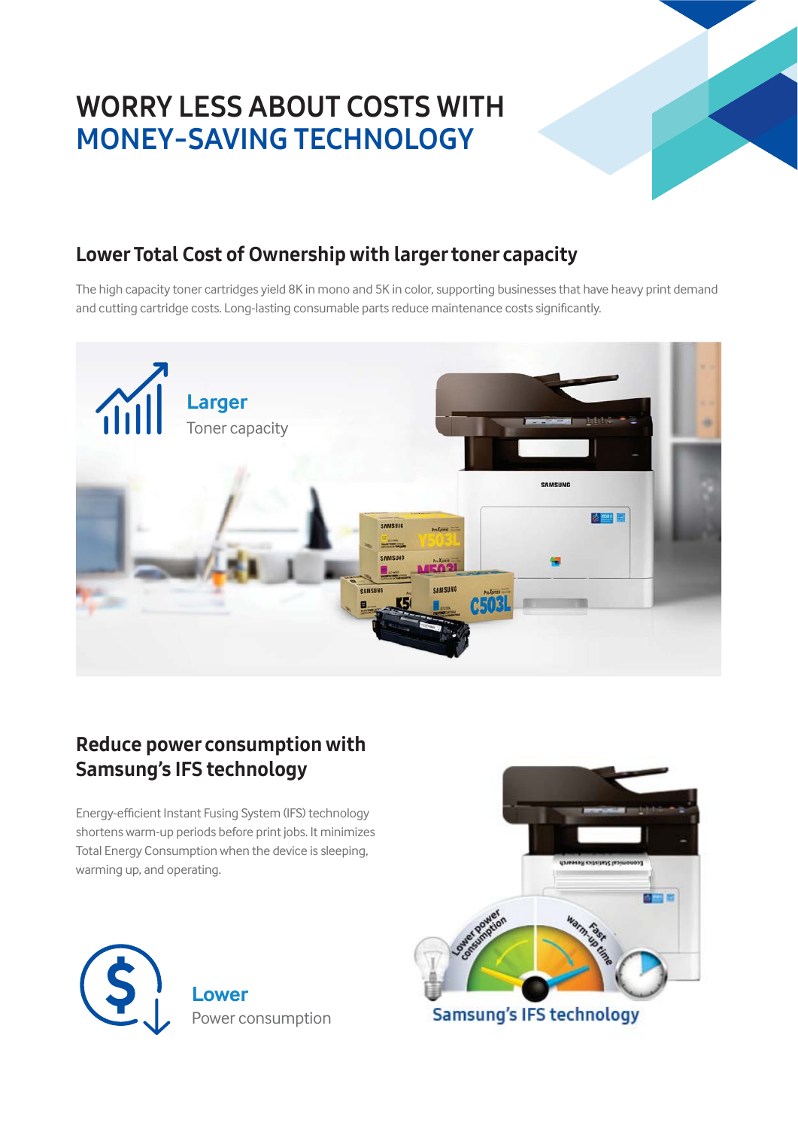# **WORRY LESS ABOUT COSTS WITH MONEY-SAVING TECHNOLOGY**



### Lower Total Cost of Ownership with larger toner capacity

The high capacity toner cartridges yield 8K in mono and 5K in color, supporting businesses that have heavy print demand and cutting cartridge costs. Long-lasting consumable parts reduce maintenance costs significantly.



### Reduce power consumption with Samsung's IFS technology

Energy-efficient Instant Fusing System (IFS) technology shortens warm-up periods before print jobs. It minimizes Total Energy Consumption when the device is sleeping, warming up, and operating.



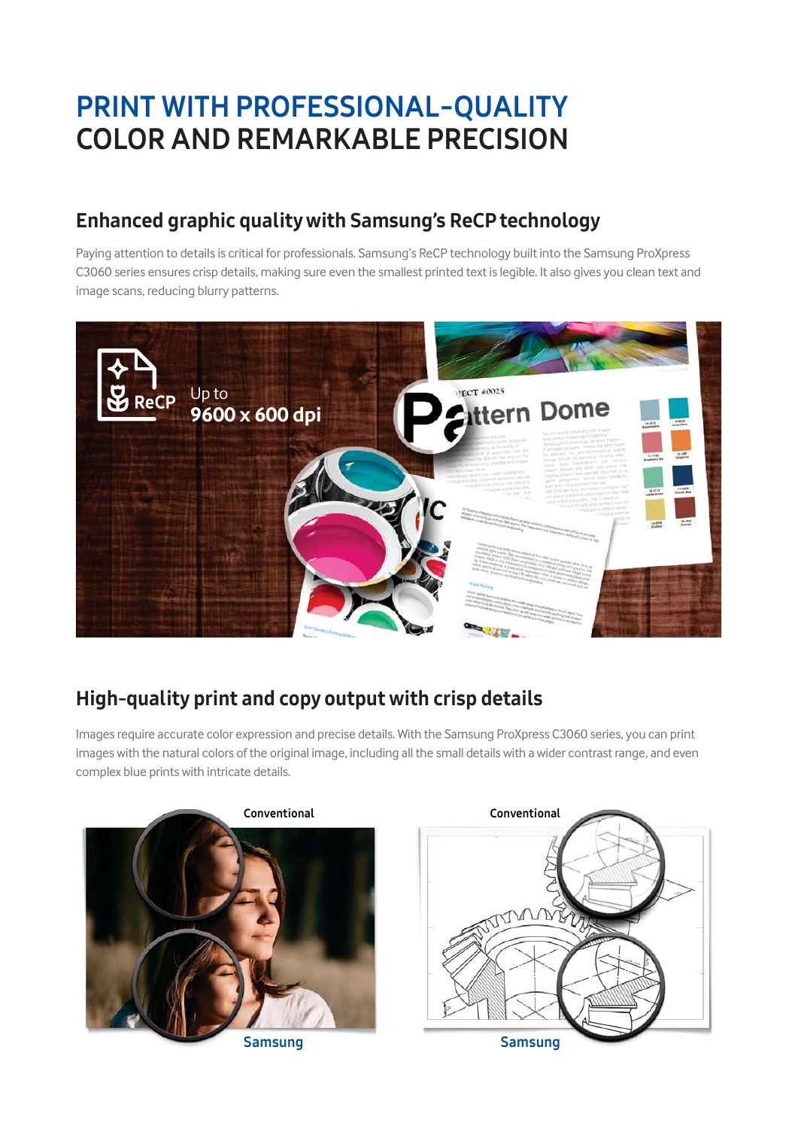# **PRINT WITH PROFESSIONAL-QUALITY COLOR AND REMARKABLE PRECISION**

### Enhanced graphic quality with Samsung's ReCP technology

Paying attention to details is critical for professionals. Samsung's ReCP technology built into the Samsung ProXpress C3060 series ensures crisp details, making sure even the smallest printed text is legible. It also gives you clean text and image scans, reducing blurry patterns.



### High-quality print and copy output with crisp details

Images require accurate color expression and precise details. With the Samsung ProXpress C3060 series, you can print images with the natural colors of the original image, including all the small details with a wider contrast range, and even complex blue prints with intricate details.

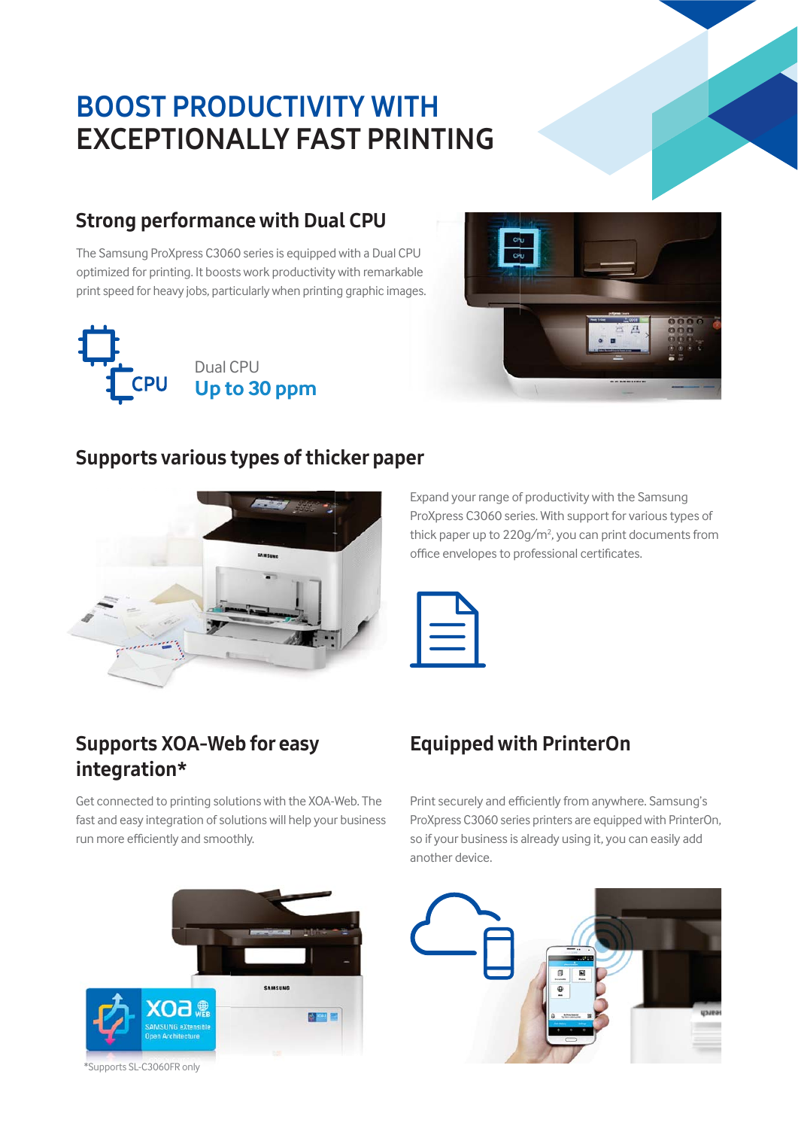# **BOOST PRODUCTIVITY WITH EXCEPTIONALLY FAST PRINTING ASSESS**

#### Strong performance with Dual CPU

The Samsung ProXpress C3060 series is equipped with a Dual CPU optimized for printing. It boosts work productivity with remarkable print speed for heavy jobs, particularly when printing graphic images.





#### Supports various types of thicker paper



Expand your range of productivity with the Samsung ProXpress C3060 series. With support for various types of thick paper up to  $220$ g/m<sup>2</sup>, you can print documents from office envelopes to professional certificates.



### Supports XOA-Web for easy integration\*

Get connected to printing solutions with the XOA-Web. The fast and easy integration of solutions will help your business run more efficiently and smoothly.



#### \*Supports SL-C3060FR only

### Equipped with PrinterOn

Print securely and efficiently from anywhere. Samsung's ProXpress C3060 series printers are equipped with PrinterOn, so if your business is already using it, you can easily add another device.

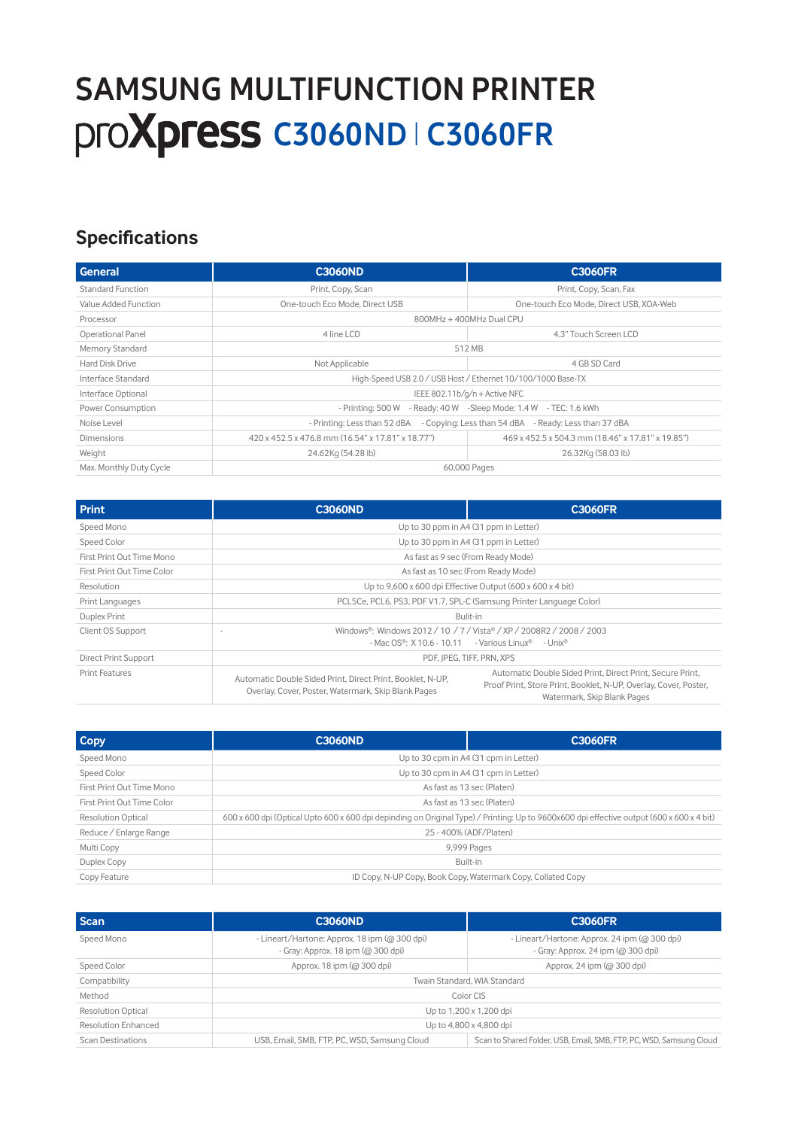# SAMPLE MULTIPULATION PRINTER PRINTER PRINTER PRINTER PRINTER PRINTER PRINTER PRINTER PRINTER PRINTER PRINTER PRINTER PRINTER PRINTER PRINTER PRINTER PRINTER PRINTER PRINTER PRINTER PRINTER PRINTER PRINTER PRINTER PRINTER P  **Proxpress C3060ND | C3060FR**

### **Specifications**

| General                 | <b>C3060ND</b>                                                                     | <b>C3060FR</b>                                    |
|-------------------------|------------------------------------------------------------------------------------|---------------------------------------------------|
| Standard Function       | Print, Copy, Scan                                                                  | Print, Copy, Scan, Fax                            |
| Value Added Function    | One-touch Eco Mode, Direct USB                                                     | One-touch Eco Mode, Direct USB, XOA-Web           |
| Processor               | 800MHz + 400MHz Dual CPU                                                           |                                                   |
| Operational Panel       | 4 line LCD                                                                         | 4.3" Touch Screen LCD                             |
| Memory Standard         | 512 MB                                                                             |                                                   |
| Hard Disk Drive         | Not Applicable                                                                     | 4 GB SD Card                                      |
| Interface Standard      | High-Speed USB 2.0 / USB Host / Ethernet 10/100/1000 Base-TX                       |                                                   |
| Interface Optional      | IEEE 802.11b/g/n + Active NFC                                                      |                                                   |
| Power Consumption       | - Ready: $40 W$ -Sleep Mode: $1.4 W$ - TEC: $1.6$ kWh<br>- Printing: 500 W         |                                                   |
| Noise Level             | - Printing: Less than 52 dBA - Copying: Less than 54 dBA - Ready: Less than 37 dBA |                                                   |
| Dimensions              | 420 x 452.5 x 476.8 mm (16.54" x 17.81" x 18.77")                                  | 469 x 452.5 x 504.3 mm (18.46" x 17.81" x 19.85") |
| Weight                  | 24.62Kg (54.28 lb)                                                                 | 26.32Kg (58.03 lb)                                |
| Max. Monthly Duty Cycle | 60,000 Pages                                                                       |                                                   |

| <b>Print</b>               | <b>C3060ND</b>                                                                                                                                                  | <b>C3060FR</b>                                                                                                                                               |
|----------------------------|-----------------------------------------------------------------------------------------------------------------------------------------------------------------|--------------------------------------------------------------------------------------------------------------------------------------------------------------|
| Speed Mono                 | Up to 30 ppm in A4 (31 ppm in Letter)                                                                                                                           |                                                                                                                                                              |
| Speed Color                | Up to 30 ppm in A4 (31 ppm in Letter)                                                                                                                           |                                                                                                                                                              |
| First Print Out Time Mono  | As fast as 9 sec (From Ready Mode)                                                                                                                              |                                                                                                                                                              |
| First Print Out Time Color | As fast as 10 sec (From Ready Mode)                                                                                                                             |                                                                                                                                                              |
| Resolution                 | Up to $9,600 \times 600$ dpi Effective Output $(600 \times 600 \times 4$ bit)                                                                                   |                                                                                                                                                              |
| Print Languages            | PCL5Ce, PCL6, PS3, PDF V1.7, SPL-C (Samsung Printer Language Color)                                                                                             |                                                                                                                                                              |
| Duplex Print               | Bulit-in                                                                                                                                                        |                                                                                                                                                              |
| Client OS Support          | Windows®: Windows 2012 / 10 / 7 / Vista® / XP / 2008R2 / 2008 / 2003<br>$-MacOS$ <sup>®</sup> : X 10.6 - 10.11 - Various Linux <sup>®</sup> - Unix <sup>®</sup> |                                                                                                                                                              |
| Direct Print Support       | PDF. IPEG. TIFF. PRN. XPS                                                                                                                                       |                                                                                                                                                              |
| <b>Print Features</b>      | Automatic Double Sided Print, Direct Print, Booklet, N-UP,<br>Overlay, Cover, Poster, Watermark, Skip Blank Pages                                               | Automatic Double Sided Print, Direct Print, Secure Print,<br>Proof Print, Store Print, Booklet, N-UP, Overlay, Cover, Poster,<br>Watermark, Skip Blank Pages |

| Copy                       | <b>C3060ND</b>                                                                                                                            | <b>C3060FR</b> |
|----------------------------|-------------------------------------------------------------------------------------------------------------------------------------------|----------------|
| Speed Mono                 | Up to 30 cpm in A4 (31 cpm in Letter)                                                                                                     |                |
| Speed Color                | Up to 30 cpm in A4 (31 cpm in Letter)                                                                                                     |                |
| First Print Out Time Mono  | As fast as 13 sec (Platen)                                                                                                                |                |
| First Print Out Time Color | As fast as 13 sec (Platen)                                                                                                                |                |
| <b>Resolution Optical</b>  | 600 x 600 dpi (Optical Upto 600 x 600 dpi depinding on Original Type) / Printing: Up to 9600x600 dpi effective output (600 x 600 x 4 bit) |                |
| Reduce / Enlarge Range     | 25 - 400% (ADF/Platen)                                                                                                                    |                |
| Multi Copy                 | 9,999 Pages                                                                                                                               |                |
| Duplex Copy                | Built-in                                                                                                                                  |                |
| Copy Feature               | ID Copy, N-UP Copy, Book Copy, Watermark Copy, Collated Copy                                                                              |                |

| <b>Scan</b>               | <b>C3060ND</b>                                                                      | <b>C3060FR</b>                                                                      |
|---------------------------|-------------------------------------------------------------------------------------|-------------------------------------------------------------------------------------|
| Speed Mono                | - Lineart/Hartone: Approx. 18 ipm (@ 300 dpi)<br>- Gray: Approx. 18 ipm (@ 300 dpi) | - Lineart/Hartone: Approx. 24 ipm (@ 300 dpi)<br>- Gray: Approx. 24 ipm (@ 300 dpi) |
| Speed Color               | Approx, 18 ipm (@ 300 dpi)                                                          | Approx, 24 ipm (@ 300 dpi)                                                          |
| Compatibility             | Twain Standard, WIA Standard                                                        |                                                                                     |
| Method                    | Color CIS                                                                           |                                                                                     |
| <b>Resolution Optical</b> | Up to 1,200 x 1,200 dpi                                                             |                                                                                     |
| Resolution Enhanced       | Up to 4,800 x 4,800 dpi                                                             |                                                                                     |
| Scan Destinations         | USB, Email, SMB, FTP, PC, WSD, Samsung Cloud                                        | Scan to Shared Folder, USB, Email, SMB, FTP, PC, WSD, Samsung Cloud                 |